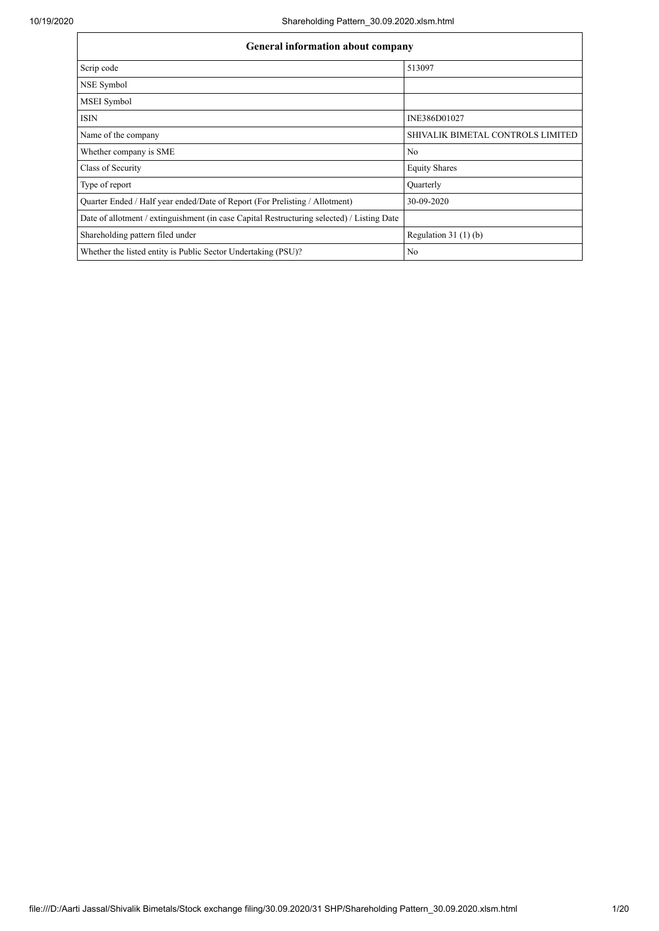| General information about company                                                          |                                   |
|--------------------------------------------------------------------------------------------|-----------------------------------|
| Scrip code                                                                                 | 513097                            |
| NSE Symbol                                                                                 |                                   |
| MSEI Symbol                                                                                |                                   |
| <b>ISIN</b>                                                                                | INE386D01027                      |
| Name of the company                                                                        | SHIVALIK BIMETAL CONTROLS LIMITED |
| Whether company is SME                                                                     | N <sub>0</sub>                    |
| Class of Security                                                                          | <b>Equity Shares</b>              |
| Type of report                                                                             | Quarterly                         |
| Quarter Ended / Half year ended/Date of Report (For Prelisting / Allotment)                | 30-09-2020                        |
| Date of allotment / extinguishment (in case Capital Restructuring selected) / Listing Date |                                   |
| Shareholding pattern filed under                                                           | Regulation $31(1)(b)$             |
| Whether the listed entity is Public Sector Undertaking (PSU)?                              | N <sub>o</sub>                    |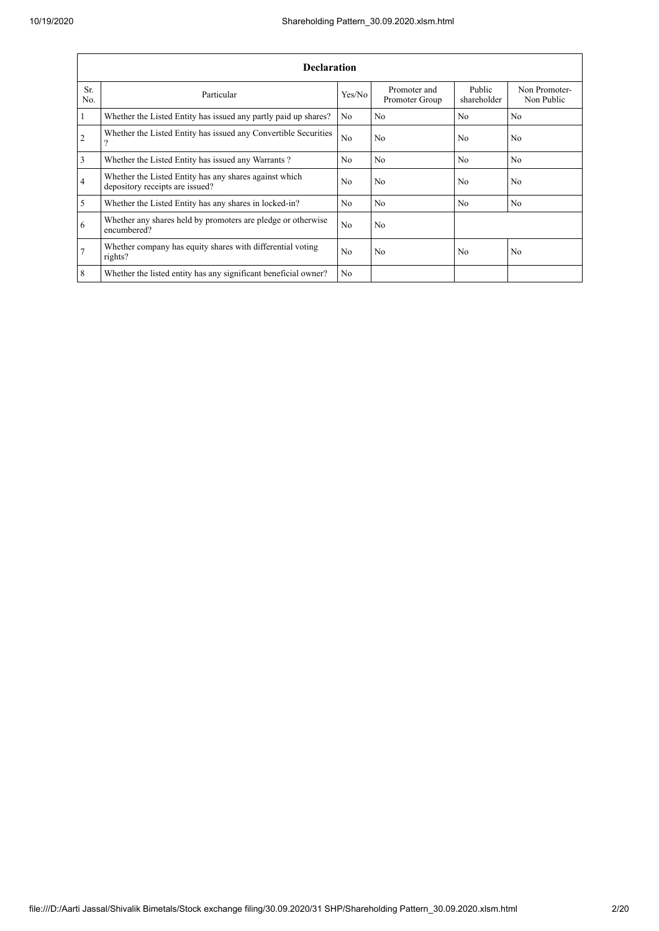|                 | <b>Declaration</b>                                                                        |                |                                |                       |                             |  |  |  |  |  |  |
|-----------------|-------------------------------------------------------------------------------------------|----------------|--------------------------------|-----------------------|-----------------------------|--|--|--|--|--|--|
| Sr.<br>No.      | Particular                                                                                | Yes/No         | Promoter and<br>Promoter Group | Public<br>shareholder | Non Promoter-<br>Non Public |  |  |  |  |  |  |
| $\mathbf{1}$    | Whether the Listed Entity has issued any partly paid up shares?                           | N <sub>0</sub> | N <sub>o</sub>                 | No                    | N <sub>o</sub>              |  |  |  |  |  |  |
| $\overline{2}$  | Whether the Listed Entity has issued any Convertible Securities<br>റ                      | N <sub>o</sub> | N <sub>o</sub>                 | N <sub>o</sub>        | N <sub>o</sub>              |  |  |  |  |  |  |
| $\overline{3}$  | Whether the Listed Entity has issued any Warrants?                                        | N <sub>o</sub> | N <sub>o</sub>                 | N <sub>o</sub>        | N <sub>o</sub>              |  |  |  |  |  |  |
| $\overline{4}$  | Whether the Listed Entity has any shares against which<br>depository receipts are issued? | N <sub>0</sub> | N <sub>o</sub>                 | N <sub>o</sub>        | N <sub>o</sub>              |  |  |  |  |  |  |
| 5               | Whether the Listed Entity has any shares in locked-in?                                    | N <sub>o</sub> | N <sub>o</sub>                 | No                    | No                          |  |  |  |  |  |  |
| 6               | Whether any shares held by promoters are pledge or otherwise<br>encumbered?               | N <sub>o</sub> | N <sub>o</sub>                 |                       |                             |  |  |  |  |  |  |
| $7\phantom{.0}$ | Whether company has equity shares with differential voting<br>rights?                     | N <sub>0</sub> | N <sub>o</sub>                 | N <sub>0</sub>        | N <sub>o</sub>              |  |  |  |  |  |  |
| 8               | Whether the listed entity has any significant beneficial owner?                           | N <sub>0</sub> |                                |                       |                             |  |  |  |  |  |  |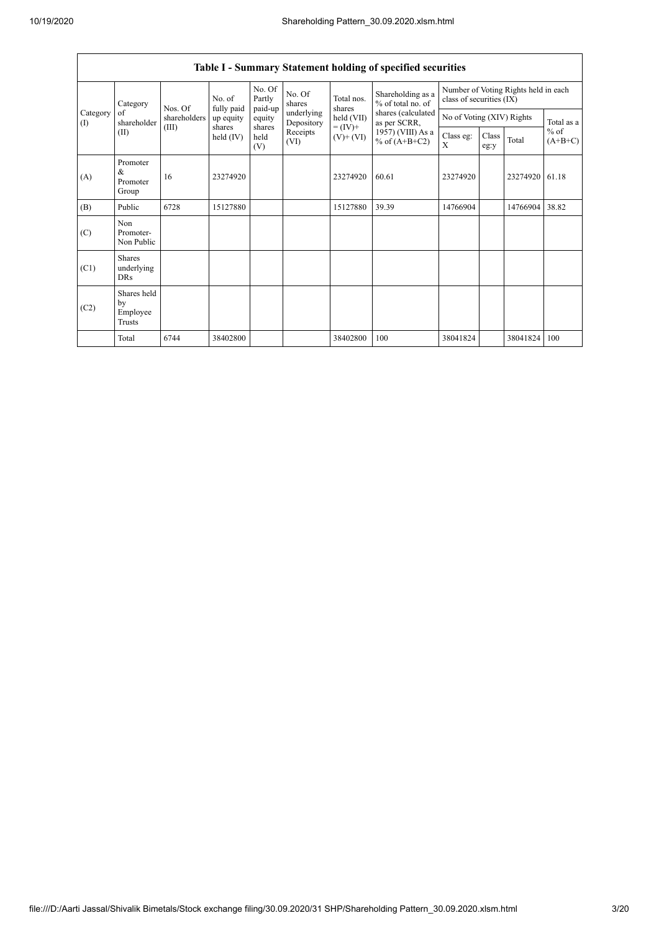$\overline{1}$ 

|                 | Table I - Summary Statement holding of specified securities |                                 |                             |                       |                          |                                        |                                                                  |                           |               |            |                     |  |
|-----------------|-------------------------------------------------------------|---------------------------------|-----------------------------|-----------------------|--------------------------|----------------------------------------|------------------------------------------------------------------|---------------------------|---------------|------------|---------------------|--|
|                 | Category<br>of<br>shareholder<br>(II)                       | No. of<br>fully paid<br>Nos. Of | No. Of<br>Partly<br>paid-up | No. Of<br>shares      | Total nos.<br>shares     | Shareholding as a<br>% of total no. of | Number of Voting Rights held in each<br>class of securities (IX) |                           |               |            |                     |  |
| Category<br>(1) |                                                             | shareholders                    | up equity                   | equity                | underlying<br>Depository | held (VII)                             | shares (calculated<br>as per SCRR,                               | No of Voting (XIV) Rights |               | Total as a |                     |  |
|                 |                                                             | (III)                           | shares<br>held (IV)         | shares<br>held<br>(V) | Receipts<br>(VI)         | $= (IV) +$<br>$(V)$ + $(VI)$           | 1957) (VIII) As a<br>% of $(A+B+C2)$                             | Class eg:<br>X            | Class<br>eg:y | Total      | $%$ of<br>$(A+B+C)$ |  |
| (A)             | Promoter<br>&<br>Promoter<br>Group                          | 16                              | 23274920                    |                       |                          | 23274920                               | 60.61                                                            | 23274920                  |               | 23274920   | 61.18               |  |
| (B)             | Public                                                      | 6728                            | 15127880                    |                       |                          | 15127880                               | 39.39                                                            | 14766904                  |               | 14766904   | 38.82               |  |
| (C)             | Non<br>Promoter-<br>Non Public                              |                                 |                             |                       |                          |                                        |                                                                  |                           |               |            |                     |  |
| (C1)            | Shares<br>underlying<br><b>DRs</b>                          |                                 |                             |                       |                          |                                        |                                                                  |                           |               |            |                     |  |
| (C2)            | Shares held<br>by<br>Employee<br>Trusts                     |                                 |                             |                       |                          |                                        |                                                                  |                           |               |            |                     |  |
|                 | Total                                                       | 6744                            | 38402800                    |                       |                          | 38402800                               | 100                                                              | 38041824                  |               | 38041824   | 100                 |  |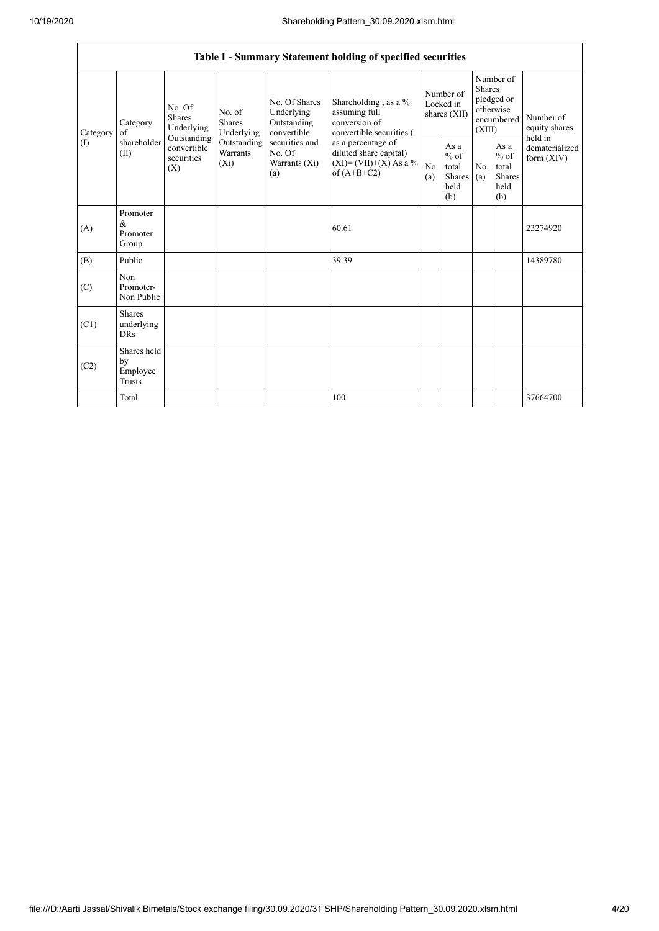|                          |                                                               |                                      |                                                                                             |                                                     | Table I - Summary Statement holding of specified securities                                |                                        |                                                  |                                                                               |                                                         |                                       |
|--------------------------|---------------------------------------------------------------|--------------------------------------|---------------------------------------------------------------------------------------------|-----------------------------------------------------|--------------------------------------------------------------------------------------------|----------------------------------------|--------------------------------------------------|-------------------------------------------------------------------------------|---------------------------------------------------------|---------------------------------------|
| Category<br>$($ $\Gamma$ | <b>Shares</b><br>Category<br>of<br>shareholder<br>(II)<br>(X) | No. Of<br>Underlying<br>Outstanding  | No. Of Shares<br>Underlying<br>No. of<br>Shares<br>Outstanding<br>Underlying<br>convertible |                                                     | Shareholding , as a %<br>assuming full<br>conversion of<br>convertible securities (        | Number of<br>Locked in<br>shares (XII) |                                                  | Number of<br><b>Shares</b><br>pledged or<br>otherwise<br>encumbered<br>(XIII) |                                                         | Number of<br>equity shares<br>held in |
|                          |                                                               | convertible<br>securities<br>$(X_i)$ | Outstanding<br>Warrants                                                                     | securities and<br>No. Of<br>Warrants $(X_i)$<br>(a) | as a percentage of<br>diluted share capital)<br>$(XI) = (VII)+(X) As a %$<br>of $(A+B+C2)$ | No.<br>(a)                             | As a<br>$%$ of<br>total<br>Shares<br>held<br>(b) | N <sub>0</sub><br>(a)                                                         | As a<br>$%$ of<br>total<br><b>Shares</b><br>held<br>(b) | dematerialized<br>form $(XIV)$        |
| (A)                      | Promoter<br>$\&$<br>Promoter<br>Group                         |                                      |                                                                                             |                                                     | 60.61                                                                                      |                                        |                                                  |                                                                               |                                                         | 23274920                              |
| (B)                      | Public                                                        |                                      |                                                                                             |                                                     | 39.39                                                                                      |                                        |                                                  |                                                                               |                                                         | 14389780                              |
| (C)                      | Non<br>Promoter-<br>Non Public                                |                                      |                                                                                             |                                                     |                                                                                            |                                        |                                                  |                                                                               |                                                         |                                       |
| (C1)                     | <b>Shares</b><br>underlying<br><b>DRs</b>                     |                                      |                                                                                             |                                                     |                                                                                            |                                        |                                                  |                                                                               |                                                         |                                       |
| (C2)                     | Shares held<br>by<br>Employee<br><b>Trusts</b>                |                                      |                                                                                             |                                                     |                                                                                            |                                        |                                                  |                                                                               |                                                         |                                       |
|                          | Total                                                         |                                      |                                                                                             |                                                     | 100                                                                                        |                                        |                                                  |                                                                               |                                                         | 37664700                              |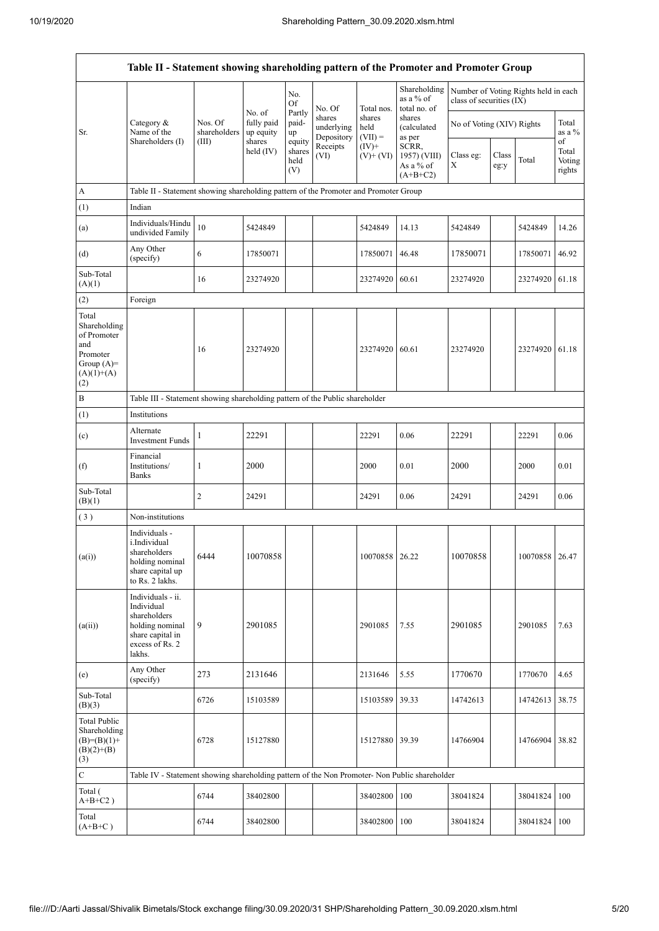|                                                                                                | Table II - Statement showing shareholding pattern of the Promoter and Promoter Group                                |                         |                                   |                                 |                                    |                             |                                                  |                           |               |                                      |                                 |
|------------------------------------------------------------------------------------------------|---------------------------------------------------------------------------------------------------------------------|-------------------------|-----------------------------------|---------------------------------|------------------------------------|-----------------------------|--------------------------------------------------|---------------------------|---------------|--------------------------------------|---------------------------------|
|                                                                                                |                                                                                                                     |                         |                                   | No.<br>Of                       | No. Of                             | Total nos.                  | Shareholding<br>as a % of<br>total no. of        | class of securities (IX)  |               | Number of Voting Rights held in each |                                 |
| Sr.                                                                                            | Category &<br>Name of the                                                                                           | Nos. Of<br>shareholders | No. of<br>fully paid<br>up equity | Partly<br>paid-<br>up           | shares<br>underlying<br>Depository | shares<br>held<br>$(VII) =$ | shares<br>(calculated<br>as per                  | No of Voting (XIV) Rights |               |                                      | Total<br>as a %                 |
|                                                                                                | Shareholders (I)                                                                                                    | (III)                   | shares<br>held $(IV)$             | equity<br>shares<br>held<br>(V) | Receipts<br>(VI)                   | $(IV)+$<br>$(V)$ + $(VI)$   | SCRR,<br>1957) (VIII)<br>As a % of<br>$(A+B+C2)$ | Class eg:<br>$\mathbf X$  | Class<br>eg:y | Total                                | of<br>Total<br>Voting<br>rights |
| $\boldsymbol{\mathsf{A}}$                                                                      | Table II - Statement showing shareholding pattern of the Promoter and Promoter Group                                |                         |                                   |                                 |                                    |                             |                                                  |                           |               |                                      |                                 |
| (1)                                                                                            | Indian                                                                                                              |                         |                                   |                                 |                                    |                             |                                                  |                           |               |                                      |                                 |
| (a)                                                                                            | Individuals/Hindu<br>undivided Family                                                                               | 10                      | 5424849                           |                                 |                                    | 5424849                     | 14.13                                            | 5424849                   |               | 5424849                              | 14.26                           |
| (d)                                                                                            | Any Other<br>(specify)                                                                                              | 6                       | 17850071                          |                                 |                                    | 17850071                    | 46.48                                            | 17850071                  |               | 17850071                             | 46.92                           |
| Sub-Total<br>(A)(1)                                                                            |                                                                                                                     | 16                      | 23274920                          |                                 |                                    | 23274920                    | 60.61                                            | 23274920                  |               | 23274920                             | 61.18                           |
| (2)                                                                                            | Foreign                                                                                                             |                         |                                   |                                 |                                    |                             |                                                  |                           |               |                                      |                                 |
| Total<br>Shareholding<br>of Promoter<br>and<br>Promoter<br>Group $(A)=$<br>$(A)(1)+(A)$<br>(2) |                                                                                                                     | 16                      | 23274920                          |                                 |                                    | 23274920                    | 60.61                                            | 23274920                  |               | 23274920                             | 61.18                           |
| $\, {\bf B}$                                                                                   | Table III - Statement showing shareholding pattern of the Public shareholder                                        |                         |                                   |                                 |                                    |                             |                                                  |                           |               |                                      |                                 |
| (1)                                                                                            | Institutions                                                                                                        |                         |                                   |                                 |                                    |                             |                                                  |                           |               |                                      |                                 |
| (c)                                                                                            | Alternate<br><b>Investment Funds</b>                                                                                | 1                       | 22291                             |                                 |                                    | 22291                       | 0.06                                             | 22291                     |               | 22291                                | 0.06                            |
| (f)                                                                                            | Financial<br>Institutions/<br>Banks                                                                                 | 1                       | 2000                              |                                 |                                    | 2000                        | 0.01                                             | 2000                      |               | 2000                                 | 0.01                            |
| Sub-Total<br>(B)(1)                                                                            |                                                                                                                     | 2                       | 24291                             |                                 |                                    | 24291                       | 0.06                                             | 24291                     |               | 24291                                | 0.06                            |
| (3)                                                                                            | Non-institutions                                                                                                    |                         |                                   |                                 |                                    |                             |                                                  |                           |               |                                      |                                 |
| (a(i))                                                                                         | Individuals -<br>i.Individual<br>shareholders<br>holding nominal<br>share capital up<br>to Rs. 2 lakhs.             | 6444                    | 10070858                          |                                 |                                    | 10070858 26.22              |                                                  | 10070858                  |               | 10070858 26.47                       |                                 |
| (a(ii))                                                                                        | Individuals - ii.<br>Individual<br>shareholders<br>holding nominal<br>share capital in<br>excess of Rs. 2<br>lakhs. | 9                       | 2901085                           |                                 |                                    | 2901085                     | 7.55                                             | 2901085                   |               | 2901085                              | 7.63                            |
| (e)                                                                                            | Any Other<br>(specify)                                                                                              | 273                     | 2131646                           |                                 |                                    | 2131646                     | 5.55                                             | 1770670                   |               | 1770670                              | 4.65                            |
| Sub-Total<br>(B)(3)                                                                            |                                                                                                                     | 6726                    | 15103589                          |                                 |                                    | 15103589                    | 39.33                                            | 14742613                  |               | 14742613                             | 38.75                           |
| <b>Total Public</b><br>Shareholding<br>$(B)=(B)(1)+$<br>$(B)(2)+(B)$<br>(3)                    |                                                                                                                     | 6728                    | 15127880                          |                                 |                                    | 15127880                    | 39.39                                            | 14766904                  |               | 14766904                             | 38.82                           |
| $\overline{C}$                                                                                 | Table IV - Statement showing shareholding pattern of the Non Promoter- Non Public shareholder                       |                         |                                   |                                 |                                    |                             |                                                  |                           |               |                                      |                                 |
| Total (<br>$A+B+C2$ )                                                                          |                                                                                                                     | 6744                    | 38402800                          |                                 |                                    | 38402800                    | 100                                              | 38041824                  |               | 38041824                             | 100                             |
| Total<br>$(A+B+C)$                                                                             |                                                                                                                     | 6744                    | 38402800                          |                                 |                                    | 38402800                    | 100                                              | 38041824                  |               | 38041824                             | 100                             |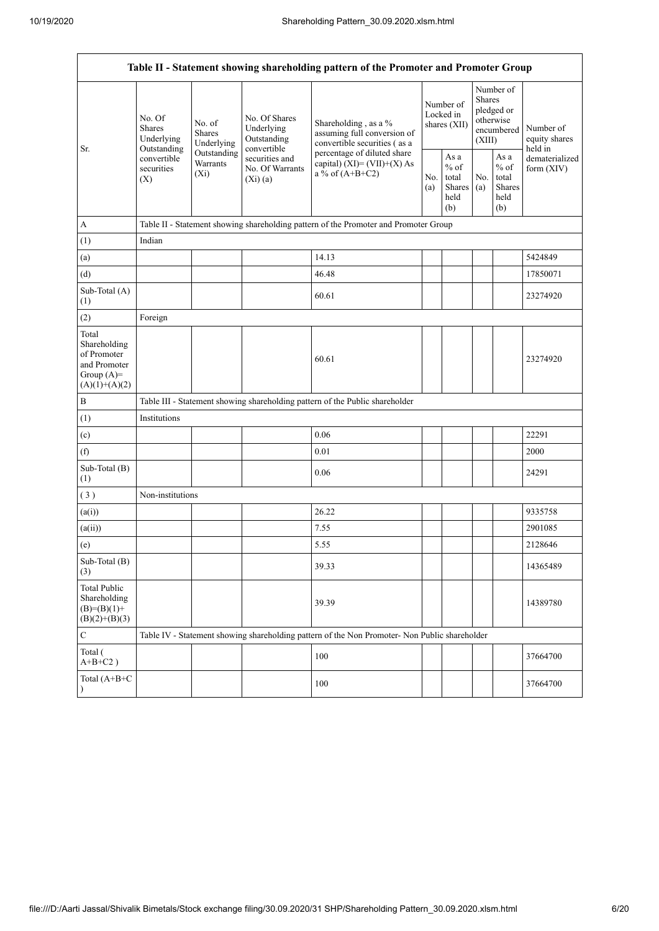|                                                                                         |                                                      |                                       |                                                           | Table II - Statement showing shareholding pattern of the Promoter and Promoter Group                                                                                      |  |                                                  |            |                                                                               |                                       |
|-----------------------------------------------------------------------------------------|------------------------------------------------------|---------------------------------------|-----------------------------------------------------------|---------------------------------------------------------------------------------------------------------------------------------------------------------------------------|--|--------------------------------------------------|------------|-------------------------------------------------------------------------------|---------------------------------------|
|                                                                                         | No. Of<br><b>Shares</b><br>Underlying<br>Outstanding | No. of<br><b>Shares</b><br>Underlying | No. Of Shares<br>Underlying<br>Outstanding<br>convertible | Shareholding, as a %<br>assuming full conversion of<br>convertible securities (as a<br>percentage of diluted share<br>capital) $(XI) = (VII)+(X) As$<br>a % of $(A+B+C2)$ |  | Number of<br>Locked in<br>shares (XII)           |            | Number of<br><b>Shares</b><br>pledged or<br>otherwise<br>encumbered<br>(XIII) | Number of<br>equity shares<br>held in |
| Sr.                                                                                     | convertible<br>securities<br>(X)                     | Outstanding<br>Warrants<br>$(X_i)$    | securities and<br>No. Of Warrants<br>(Xi)(a)              |                                                                                                                                                                           |  | As a<br>$%$ of<br>total<br>Shares<br>held<br>(b) | No.<br>(a) | As a<br>$\%$ of<br>total<br><b>Shares</b><br>held<br>(b)                      | dematerialized<br>form $(XIV)$        |
| A                                                                                       |                                                      |                                       |                                                           | Table II - Statement showing shareholding pattern of the Promoter and Promoter Group                                                                                      |  |                                                  |            |                                                                               |                                       |
| (1)                                                                                     | Indian                                               |                                       |                                                           |                                                                                                                                                                           |  |                                                  |            |                                                                               |                                       |
| (a)                                                                                     |                                                      |                                       |                                                           | 14.13                                                                                                                                                                     |  |                                                  |            |                                                                               | 5424849                               |
| (d)                                                                                     |                                                      |                                       |                                                           | 46.48                                                                                                                                                                     |  |                                                  |            |                                                                               | 17850071                              |
| Sub-Total (A)<br>(1)                                                                    |                                                      |                                       |                                                           | 60.61                                                                                                                                                                     |  |                                                  |            |                                                                               | 23274920                              |
| (2)                                                                                     | Foreign                                              |                                       |                                                           |                                                                                                                                                                           |  |                                                  |            |                                                                               |                                       |
| Total<br>Shareholding<br>of Promoter<br>and Promoter<br>Group $(A)=$<br>$(A)(1)+(A)(2)$ |                                                      |                                       |                                                           | 60.61                                                                                                                                                                     |  |                                                  |            |                                                                               | 23274920                              |
| $\, {\bf B}$                                                                            |                                                      |                                       |                                                           | Table III - Statement showing shareholding pattern of the Public shareholder                                                                                              |  |                                                  |            |                                                                               |                                       |
| (1)                                                                                     | Institutions                                         |                                       |                                                           |                                                                                                                                                                           |  |                                                  |            |                                                                               |                                       |
| (c)                                                                                     |                                                      |                                       |                                                           | 0.06                                                                                                                                                                      |  |                                                  |            |                                                                               | 22291                                 |
| (f)                                                                                     |                                                      |                                       |                                                           | $0.01\,$                                                                                                                                                                  |  |                                                  |            |                                                                               | 2000                                  |
| Sub-Total (B)<br>(1)                                                                    |                                                      |                                       |                                                           | 0.06                                                                                                                                                                      |  |                                                  |            |                                                                               | 24291                                 |
| (3)                                                                                     | Non-institutions                                     |                                       |                                                           |                                                                                                                                                                           |  |                                                  |            |                                                                               |                                       |
| (a(i))                                                                                  |                                                      |                                       |                                                           | 26.22                                                                                                                                                                     |  |                                                  |            |                                                                               | 9335758                               |
| (a(ii))                                                                                 |                                                      |                                       |                                                           | 7.55                                                                                                                                                                      |  |                                                  |            |                                                                               | 2901085                               |
| (e)                                                                                     |                                                      |                                       |                                                           | 5.55                                                                                                                                                                      |  |                                                  |            |                                                                               | 2128646                               |
| Sub-Total (B)<br>(3)                                                                    |                                                      |                                       |                                                           | 39.33                                                                                                                                                                     |  |                                                  |            |                                                                               | 14365489                              |
| <b>Total Public</b><br>Shareholding<br>$(B)=(B)(1)+$<br>$(B)(2)+(B)(3)$                 |                                                      |                                       |                                                           | 39.39                                                                                                                                                                     |  |                                                  |            |                                                                               | 14389780                              |
| $\mathbf C$                                                                             |                                                      |                                       |                                                           | Table IV - Statement showing shareholding pattern of the Non Promoter- Non Public shareholder                                                                             |  |                                                  |            |                                                                               |                                       |
| Total (<br>$A+B+C2$ )                                                                   |                                                      |                                       |                                                           | 100                                                                                                                                                                       |  |                                                  |            |                                                                               | 37664700                              |
| Total $(A+B+C)$                                                                         |                                                      |                                       |                                                           | 100                                                                                                                                                                       |  |                                                  |            |                                                                               | 37664700                              |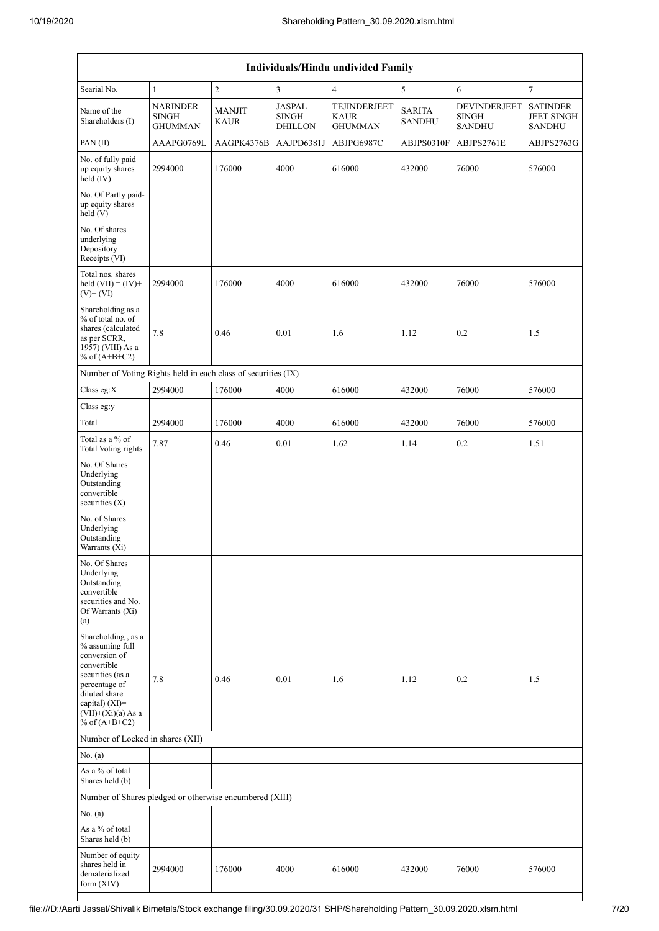|                                                                                                                                                                                          | <b>Individuals/Hindu undivided Family</b>         |                              |                                                 |                                        |                                |                                                      |                                                       |  |  |  |  |  |
|------------------------------------------------------------------------------------------------------------------------------------------------------------------------------------------|---------------------------------------------------|------------------------------|-------------------------------------------------|----------------------------------------|--------------------------------|------------------------------------------------------|-------------------------------------------------------|--|--|--|--|--|
| Searial No.                                                                                                                                                                              | $\mathbf{1}$                                      | $\overline{c}$               | 3                                               | $\overline{4}$                         | 5                              | 6                                                    | $\tau$                                                |  |  |  |  |  |
| Name of the<br>Shareholders (I)                                                                                                                                                          | <b>NARINDER</b><br><b>SINGH</b><br><b>GHUMMAN</b> | <b>MANJIT</b><br><b>KAUR</b> | <b>JASPAL</b><br><b>SINGH</b><br><b>DHILLON</b> | TEJINDERJEET<br>KAUR<br><b>GHUMMAN</b> | <b>SARITA</b><br><b>SANDHU</b> | <b>DEVINDERJEET</b><br><b>SINGH</b><br><b>SANDHU</b> | <b>SATINDER</b><br><b>JEET SINGH</b><br><b>SANDHU</b> |  |  |  |  |  |
| PAN(II)                                                                                                                                                                                  | AAAPG0769L                                        | AAGPK4376B                   | AAJPD6381J                                      | ABJPG6987C                             | ABJPS0310F                     | ABJPS2761E                                           | ABJPS2763G                                            |  |  |  |  |  |
| No. of fully paid<br>up equity shares<br>held (IV)                                                                                                                                       | 2994000                                           | 176000                       | 4000                                            | 616000                                 | 432000                         | 76000                                                | 576000                                                |  |  |  |  |  |
| No. Of Partly paid-<br>up equity shares<br>held (V)                                                                                                                                      |                                                   |                              |                                                 |                                        |                                |                                                      |                                                       |  |  |  |  |  |
| No. Of shares<br>underlying<br>Depository<br>Receipts (VI)                                                                                                                               |                                                   |                              |                                                 |                                        |                                |                                                      |                                                       |  |  |  |  |  |
| Total nos. shares<br>held $(VII) = (IV) +$<br>$(V)$ + $(VI)$                                                                                                                             | 2994000                                           | 176000                       | 4000                                            | 616000                                 | 432000                         | 76000                                                | 576000                                                |  |  |  |  |  |
| Shareholding as a<br>% of total no. of<br>shares (calculated<br>as per SCRR,<br>1957) (VIII) As a<br>% of $(A+B+C2)$                                                                     | 7.8                                               | 0.46                         | 0.01                                            | 1.6                                    | 1.12                           | 0.2                                                  | 1.5                                                   |  |  |  |  |  |
| Number of Voting Rights held in each class of securities (IX)                                                                                                                            |                                                   |                              |                                                 |                                        |                                |                                                      |                                                       |  |  |  |  |  |
| Class eg:X                                                                                                                                                                               | 2994000                                           | 176000                       | 4000                                            | 616000                                 | 432000                         | 76000                                                | 576000                                                |  |  |  |  |  |
| Class eg:y                                                                                                                                                                               |                                                   |                              |                                                 |                                        |                                |                                                      |                                                       |  |  |  |  |  |
| Total                                                                                                                                                                                    | 2994000                                           | 176000                       | 4000                                            | 616000                                 | 432000                         | 76000                                                | 576000                                                |  |  |  |  |  |
| Total as a % of<br><b>Total Voting rights</b>                                                                                                                                            | 7.87                                              | 0.46                         | 0.01                                            | 1.62                                   | 1.14                           | 0.2                                                  | 1.51                                                  |  |  |  |  |  |
| No. Of Shares<br>Underlying<br>Outstanding<br>convertible<br>securities $(X)$                                                                                                            |                                                   |                              |                                                 |                                        |                                |                                                      |                                                       |  |  |  |  |  |
| No. of Shares<br>Underlying<br>Outstanding<br>Warrants (Xi)                                                                                                                              |                                                   |                              |                                                 |                                        |                                |                                                      |                                                       |  |  |  |  |  |
| No. Of Shares<br>Underlying<br>Outstanding<br>convertible<br>securities and No.<br>Of Warrants (Xi)<br>(a)                                                                               |                                                   |                              |                                                 |                                        |                                |                                                      |                                                       |  |  |  |  |  |
| Shareholding, as a<br>% assuming full<br>conversion of<br>convertible<br>securities (as a<br>percentage of<br>diluted share<br>capital) (XI)=<br>$(VII)+(Xi)(a)$ As a<br>% of $(A+B+C2)$ | 7.8                                               | 0.46                         | 0.01                                            | 1.6                                    | 1.12                           | 0.2                                                  | 1.5                                                   |  |  |  |  |  |
| Number of Locked in shares (XII)                                                                                                                                                         |                                                   |                              |                                                 |                                        |                                |                                                      |                                                       |  |  |  |  |  |
| No. (a)                                                                                                                                                                                  |                                                   |                              |                                                 |                                        |                                |                                                      |                                                       |  |  |  |  |  |
| As a % of total<br>Shares held (b)                                                                                                                                                       |                                                   |                              |                                                 |                                        |                                |                                                      |                                                       |  |  |  |  |  |
| Number of Shares pledged or otherwise encumbered (XIII)                                                                                                                                  |                                                   |                              |                                                 |                                        |                                |                                                      |                                                       |  |  |  |  |  |
| No. (a)                                                                                                                                                                                  |                                                   |                              |                                                 |                                        |                                |                                                      |                                                       |  |  |  |  |  |
| As a % of total<br>Shares held (b)                                                                                                                                                       |                                                   |                              |                                                 |                                        |                                |                                                      |                                                       |  |  |  |  |  |
| Number of equity<br>shares held in<br>dematerialized<br>form (XIV)                                                                                                                       | 2994000                                           | 176000                       | 4000                                            | 616000                                 | 432000                         | 76000                                                | 576000                                                |  |  |  |  |  |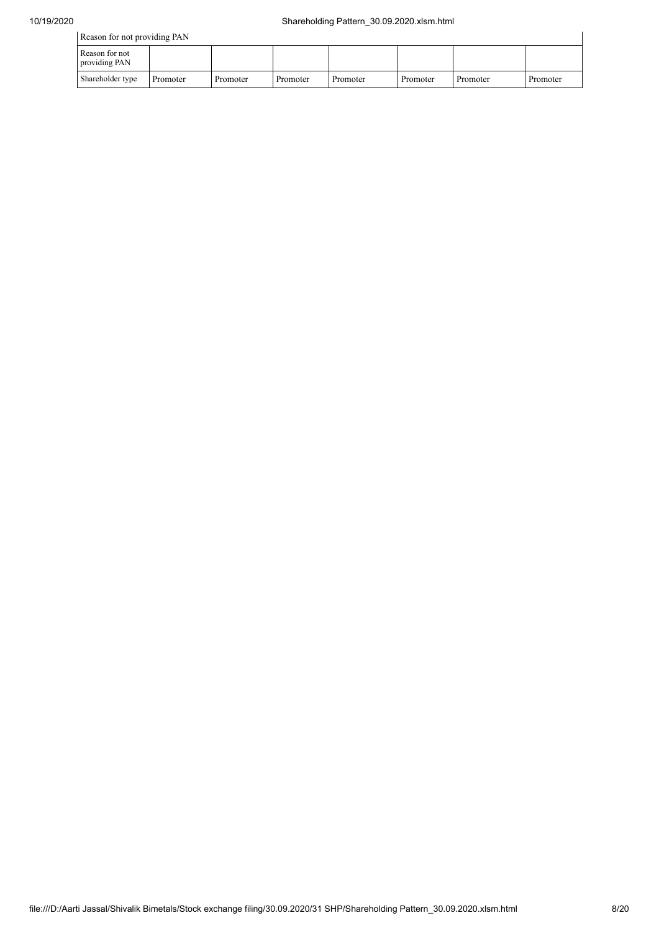| Reason for not providing PAN    |          |          |          |          |          |          |          |  |  |  |
|---------------------------------|----------|----------|----------|----------|----------|----------|----------|--|--|--|
| Reason for not<br>providing PAN |          |          |          |          |          |          |          |  |  |  |
| Shareholder type                | Promoter | Promoter | Promoter | Promoter | Promoter | Promoter | Promoter |  |  |  |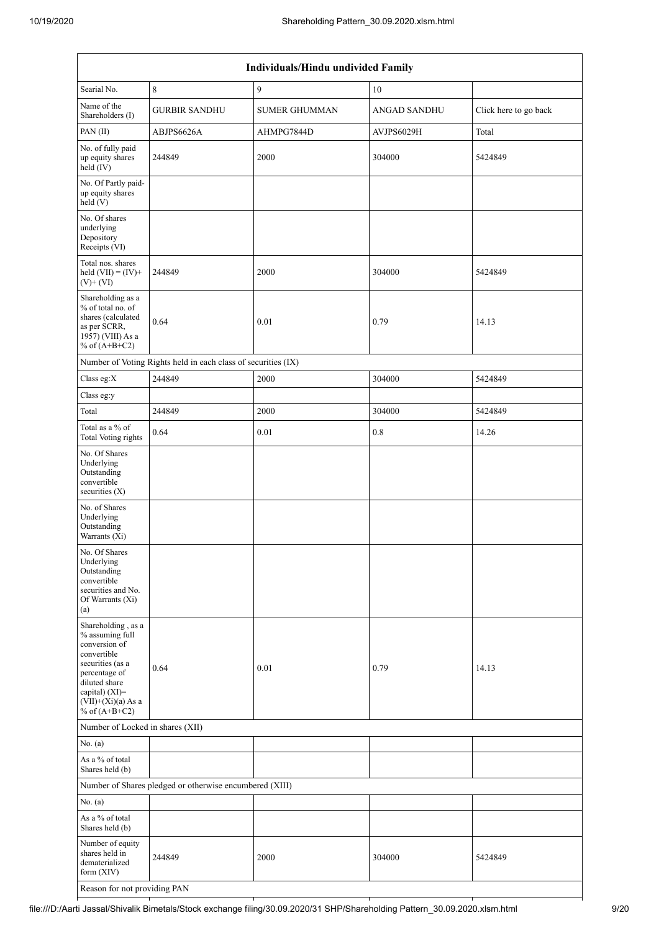| Individuals/Hindu undivided Family                                                                                                                                                       |                                                               |                      |              |                       |  |  |  |  |  |  |
|------------------------------------------------------------------------------------------------------------------------------------------------------------------------------------------|---------------------------------------------------------------|----------------------|--------------|-----------------------|--|--|--|--|--|--|
| Searial No.                                                                                                                                                                              | $\,8\,$                                                       | $\mathfrak{g}$       | 10           |                       |  |  |  |  |  |  |
| Name of the<br>Shareholders (I)                                                                                                                                                          | <b>GURBIR SANDHU</b>                                          | <b>SUMER GHUMMAN</b> | ANGAD SANDHU | Click here to go back |  |  |  |  |  |  |
| PAN(II)                                                                                                                                                                                  | ABJPS6626A                                                    | AHMPG7844D           | AVJPS6029H   | Total                 |  |  |  |  |  |  |
| No. of fully paid<br>up equity shares<br>held (IV)                                                                                                                                       | 244849                                                        | 2000                 | 304000       | 5424849               |  |  |  |  |  |  |
| No. Of Partly paid-<br>up equity shares<br>held (V)                                                                                                                                      |                                                               |                      |              |                       |  |  |  |  |  |  |
| No. Of shares<br>underlying<br>Depository<br>Receipts (VI)                                                                                                                               |                                                               |                      |              |                       |  |  |  |  |  |  |
| Total nos. shares<br>held $(VII) = (IV) +$<br>$(V)+(VI)$                                                                                                                                 | 244849                                                        | 2000                 | 304000       | 5424849               |  |  |  |  |  |  |
| Shareholding as a<br>% of total no. of<br>shares (calculated<br>as per SCRR,<br>1957) (VIII) As a<br>% of $(A+B+C2)$                                                                     | 0.64                                                          | 0.01                 | 0.79         | 14.13                 |  |  |  |  |  |  |
|                                                                                                                                                                                          | Number of Voting Rights held in each class of securities (IX) |                      |              |                       |  |  |  |  |  |  |
| Class eg:X                                                                                                                                                                               | 244849                                                        | 2000                 | 304000       | 5424849               |  |  |  |  |  |  |
| Class eg:y                                                                                                                                                                               |                                                               |                      |              |                       |  |  |  |  |  |  |
| Total                                                                                                                                                                                    | 244849                                                        | 2000                 | 304000       | 5424849               |  |  |  |  |  |  |
| Total as a % of<br><b>Total Voting rights</b>                                                                                                                                            | 0.64                                                          | 0.01                 | 0.8          | 14.26                 |  |  |  |  |  |  |
| No. Of Shares<br>Underlying<br>Outstanding<br>convertible<br>securities $(X)$                                                                                                            |                                                               |                      |              |                       |  |  |  |  |  |  |
| No. of Shares<br>Underlying<br>Outstanding<br>Warrants (Xi)                                                                                                                              |                                                               |                      |              |                       |  |  |  |  |  |  |
| No. Of Shares<br>Underlying<br>Outstanding<br>convertible<br>securities and No.<br>Of Warrants (Xi)<br>(a)                                                                               |                                                               |                      |              |                       |  |  |  |  |  |  |
| Shareholding, as a<br>% assuming full<br>conversion of<br>convertible<br>securities (as a<br>percentage of<br>diluted share<br>capital) (XI)=<br>$(VII)+(Xi)(a)$ As a<br>% of $(A+B+C2)$ | 0.64                                                          | 0.01                 | 0.79         | 14.13                 |  |  |  |  |  |  |
| Number of Locked in shares (XII)                                                                                                                                                         |                                                               |                      |              |                       |  |  |  |  |  |  |
| No. $(a)$                                                                                                                                                                                |                                                               |                      |              |                       |  |  |  |  |  |  |
| As a % of total<br>Shares held (b)                                                                                                                                                       |                                                               |                      |              |                       |  |  |  |  |  |  |
|                                                                                                                                                                                          | Number of Shares pledged or otherwise encumbered (XIII)       |                      |              |                       |  |  |  |  |  |  |
| No. $(a)$                                                                                                                                                                                |                                                               |                      |              |                       |  |  |  |  |  |  |
| As a % of total<br>Shares held (b)                                                                                                                                                       |                                                               |                      |              |                       |  |  |  |  |  |  |
| Number of equity<br>shares held in<br>dematerialized<br>form $(XIV)$                                                                                                                     | 244849                                                        | 2000                 | 304000       | 5424849               |  |  |  |  |  |  |
| Reason for not providing PAN                                                                                                                                                             |                                                               |                      |              |                       |  |  |  |  |  |  |

file:///D:/Aarti Jassal/Shivalik Bimetals/Stock exchange filing/30.09.2020/31 SHP/Shareholding Pattern\_30.09.2020.xlsm.html 9/20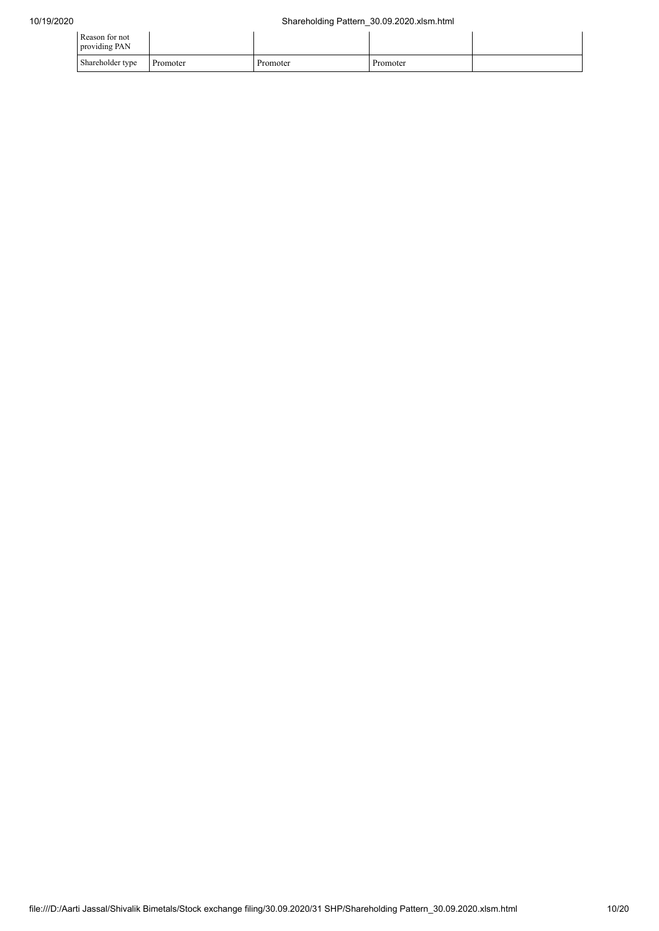| Reason for not<br>providing PAN |          |          |          |  |
|---------------------------------|----------|----------|----------|--|
| Shareholder type                | Promoter | Promoter | Promoter |  |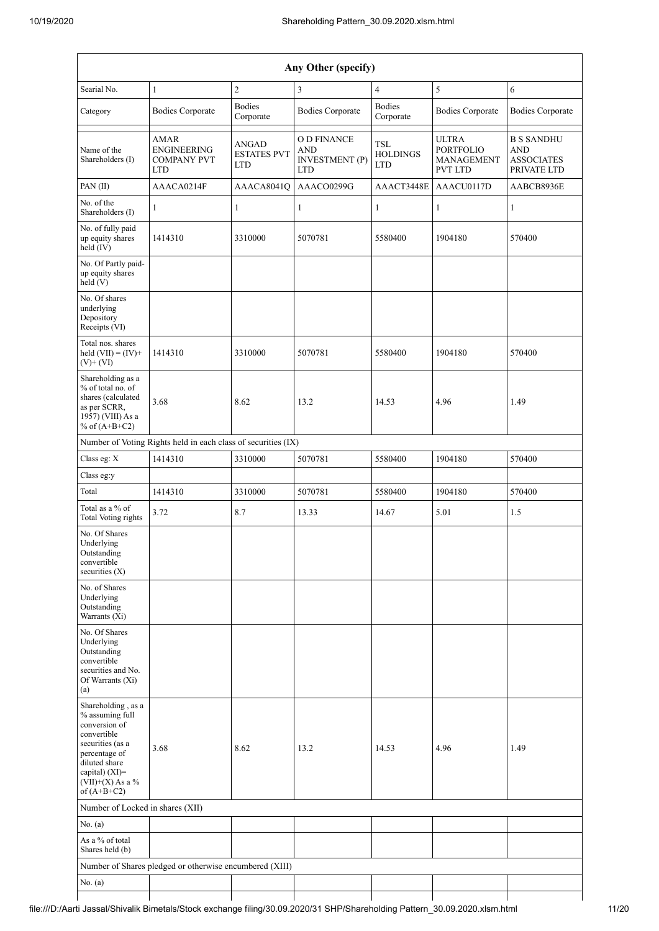| Any Other (specify)                                                                                                                                                                  |                                                                       |                                           |                                                                  |                                      |                                                                  |                                                                     |  |  |  |  |  |
|--------------------------------------------------------------------------------------------------------------------------------------------------------------------------------------|-----------------------------------------------------------------------|-------------------------------------------|------------------------------------------------------------------|--------------------------------------|------------------------------------------------------------------|---------------------------------------------------------------------|--|--|--|--|--|
| Searial No.                                                                                                                                                                          | $\mathbf{1}$                                                          | $\overline{c}$                            | 3                                                                | $\overline{4}$                       | $\sqrt{5}$                                                       | 6                                                                   |  |  |  |  |  |
| Category                                                                                                                                                                             | <b>Bodies Corporate</b>                                               | <b>Bodies</b><br>Corporate                | <b>Bodies Corporate</b>                                          | <b>Bodies</b><br>Corporate           | <b>Bodies Corporate</b>                                          | <b>Bodies Corporate</b>                                             |  |  |  |  |  |
| Name of the<br>Shareholders (I)                                                                                                                                                      | <b>AMAR</b><br><b>ENGINEERING</b><br><b>COMPANY PVT</b><br><b>LTD</b> | ANGAD<br><b>ESTATES PVT</b><br><b>LTD</b> | O D FINANCE<br><b>AND</b><br><b>INVESTMENT</b> (P)<br><b>LTD</b> | TSL<br><b>HOLDINGS</b><br><b>LTD</b> | <b>ULTRA</b><br><b>PORTFOLIO</b><br>MANAGEMENT<br><b>PVT LTD</b> | <b>B S SANDHU</b><br><b>AND</b><br><b>ASSOCIATES</b><br>PRIVATE LTD |  |  |  |  |  |
| PAN(II)                                                                                                                                                                              | AAACA0214F                                                            | AAACA8041Q                                | AAACO0299G                                                       | AAACT3448E                           | AAACU0117D                                                       | AABCB8936E                                                          |  |  |  |  |  |
| No. of the<br>Shareholders (I)                                                                                                                                                       | 1                                                                     | 1                                         | $\mathbf{1}$                                                     | 1                                    | $\mathbf{1}$                                                     | 1                                                                   |  |  |  |  |  |
| No. of fully paid<br>up equity shares<br>held (IV)                                                                                                                                   | 1414310                                                               | 3310000                                   | 5070781                                                          | 5580400                              | 1904180                                                          | 570400                                                              |  |  |  |  |  |
| No. Of Partly paid-<br>up equity shares<br>held (V)                                                                                                                                  |                                                                       |                                           |                                                                  |                                      |                                                                  |                                                                     |  |  |  |  |  |
| No. Of shares<br>underlying<br>Depository<br>Receipts (VI)                                                                                                                           |                                                                       |                                           |                                                                  |                                      |                                                                  |                                                                     |  |  |  |  |  |
| Total nos. shares<br>held $(VII) = (IV) +$<br>$(V)$ + $(VI)$                                                                                                                         | 1414310                                                               | 3310000                                   | 5070781                                                          | 5580400                              | 1904180                                                          | 570400                                                              |  |  |  |  |  |
| Shareholding as a<br>% of total no. of<br>shares (calculated<br>as per SCRR,<br>1957) (VIII) As a<br>% of $(A+B+C2)$                                                                 | 3.68                                                                  | 8.62                                      | 13.2                                                             | 14.53                                | 4.96                                                             | 1.49                                                                |  |  |  |  |  |
|                                                                                                                                                                                      | Number of Voting Rights held in each class of securities (IX)         |                                           |                                                                  |                                      |                                                                  |                                                                     |  |  |  |  |  |
| Class eg: X                                                                                                                                                                          | 1414310                                                               | 3310000                                   | 5070781                                                          | 5580400                              | 1904180                                                          | 570400                                                              |  |  |  |  |  |
| Class eg:y                                                                                                                                                                           |                                                                       |                                           |                                                                  |                                      |                                                                  |                                                                     |  |  |  |  |  |
| Total                                                                                                                                                                                | 1414310                                                               | 3310000                                   | 5070781                                                          | 5580400                              | 1904180                                                          | 570400                                                              |  |  |  |  |  |
| Total as a % of<br>Total Voting rights                                                                                                                                               | 3.72                                                                  | 8.7                                       | 13.33                                                            | 14.67                                | 5.01                                                             | 1.5                                                                 |  |  |  |  |  |
| No. Of Shares<br>Underlying<br>Outstanding<br>convertible<br>securities $(X)$                                                                                                        |                                                                       |                                           |                                                                  |                                      |                                                                  |                                                                     |  |  |  |  |  |
| No. of Shares<br>Underlying<br>Outstanding<br>Warrants (Xi)                                                                                                                          |                                                                       |                                           |                                                                  |                                      |                                                                  |                                                                     |  |  |  |  |  |
| No. Of Shares<br>Underlying<br>Outstanding<br>convertible<br>securities and No.<br>Of Warrants (Xi)<br>(a)                                                                           |                                                                       |                                           |                                                                  |                                      |                                                                  |                                                                     |  |  |  |  |  |
| Shareholding, as a<br>% assuming full<br>conversion of<br>convertible<br>securities (as a<br>percentage of<br>diluted share<br>capital) (XI)=<br>$(VII)+(X)$ As a %<br>of $(A+B+C2)$ | 3.68                                                                  | 8.62                                      | 13.2                                                             | 14.53                                | 4.96                                                             | 1.49                                                                |  |  |  |  |  |
| Number of Locked in shares (XII)                                                                                                                                                     |                                                                       |                                           |                                                                  |                                      |                                                                  |                                                                     |  |  |  |  |  |
| No. $(a)$                                                                                                                                                                            |                                                                       |                                           |                                                                  |                                      |                                                                  |                                                                     |  |  |  |  |  |
| As a % of total<br>Shares held (b)                                                                                                                                                   |                                                                       |                                           |                                                                  |                                      |                                                                  |                                                                     |  |  |  |  |  |
|                                                                                                                                                                                      | Number of Shares pledged or otherwise encumbered (XIII)               |                                           |                                                                  |                                      |                                                                  |                                                                     |  |  |  |  |  |
| No. (a)                                                                                                                                                                              |                                                                       |                                           |                                                                  |                                      |                                                                  |                                                                     |  |  |  |  |  |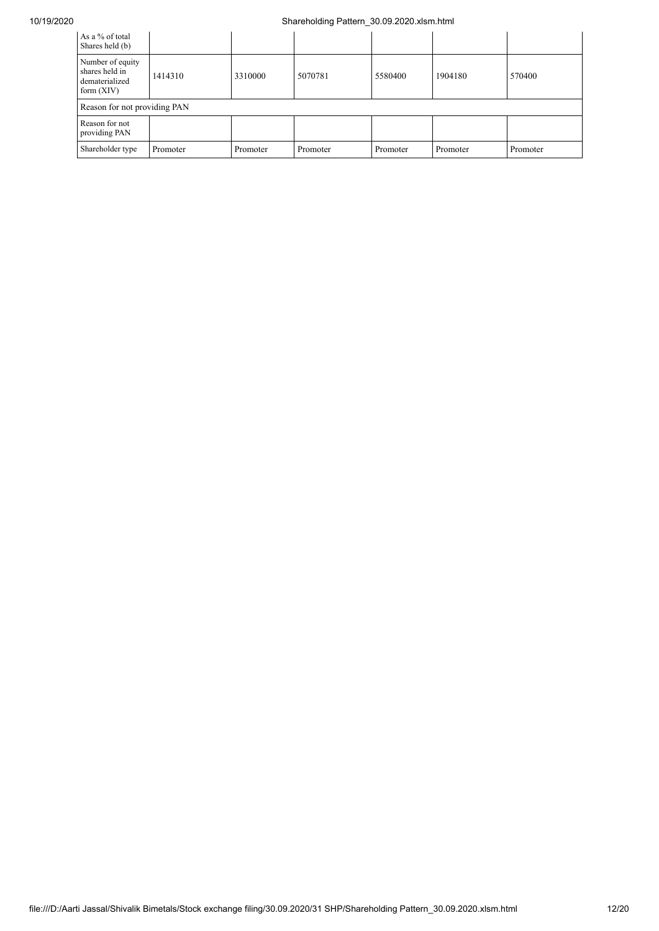| As a % of total<br>Shares held (b)                                   |          |          |          |          |          |          |
|----------------------------------------------------------------------|----------|----------|----------|----------|----------|----------|
| Number of equity<br>shares held in<br>dematerialized<br>form $(XIV)$ | 1414310  | 3310000  | 5070781  | 5580400  | 1904180  | 570400   |
| Reason for not providing PAN                                         |          |          |          |          |          |          |
| Reason for not<br>providing PAN                                      |          |          |          |          |          |          |
| Shareholder type                                                     | Promoter | Promoter | Promoter | Promoter | Promoter | Promoter |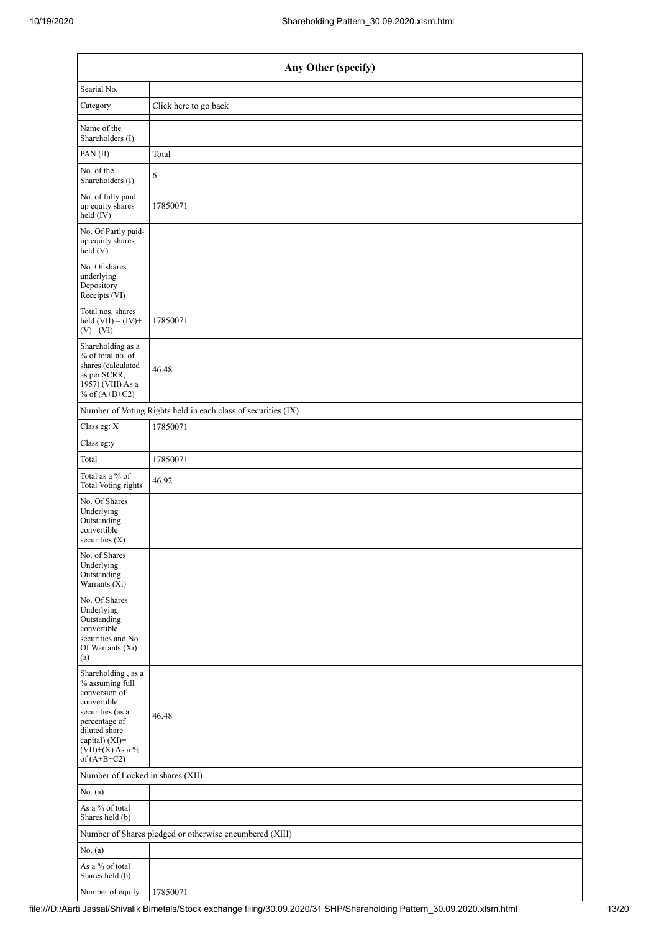| Any Other (specify)                                                                                                                                                                   |                                                               |  |  |  |
|---------------------------------------------------------------------------------------------------------------------------------------------------------------------------------------|---------------------------------------------------------------|--|--|--|
| Searial No.                                                                                                                                                                           |                                                               |  |  |  |
| Category                                                                                                                                                                              | Click here to go back                                         |  |  |  |
| Name of the<br>Shareholders (I)                                                                                                                                                       |                                                               |  |  |  |
| PAN(II)                                                                                                                                                                               | Total                                                         |  |  |  |
| No. of the<br>Shareholders (I)                                                                                                                                                        | 6                                                             |  |  |  |
| No. of fully paid<br>up equity shares<br>held $(IV)$                                                                                                                                  | 17850071                                                      |  |  |  |
| No. Of Partly paid-<br>up equity shares<br>held (V)                                                                                                                                   |                                                               |  |  |  |
| No. Of shares<br>underlying<br>Depository<br>Receipts (VI)                                                                                                                            |                                                               |  |  |  |
| Total nos. shares<br>held $(VII) = (IV) +$<br>$(V)$ + $(VI)$                                                                                                                          | 17850071                                                      |  |  |  |
| Shareholding as a<br>% of total no. of<br>shares (calculated<br>as per SCRR,<br>1957) (VIII) As a<br>% of $(A+B+C2)$                                                                  | 46.48                                                         |  |  |  |
|                                                                                                                                                                                       | Number of Voting Rights held in each class of securities (IX) |  |  |  |
| Class eg: X                                                                                                                                                                           | 17850071                                                      |  |  |  |
| Class eg:y                                                                                                                                                                            |                                                               |  |  |  |
| Total                                                                                                                                                                                 | 17850071                                                      |  |  |  |
| Total as a % of<br><b>Total Voting rights</b>                                                                                                                                         | 46.92                                                         |  |  |  |
| No. Of Shares<br>Underlying<br>Outstanding<br>convertible<br>securities $(X)$                                                                                                         |                                                               |  |  |  |
| No. of Shares<br>Underlying<br>Outstanding<br>Warrants (Xi)                                                                                                                           |                                                               |  |  |  |
| No. Of Shares<br>Underlying<br>Outstanding<br>convertible<br>securities and No.<br>Of Warrants (Xi)<br>(a)                                                                            |                                                               |  |  |  |
| Shareholding, as a<br>% assuming full<br>conversion of<br>convertible<br>securities (as a<br>percentage of<br>diluted share<br>capital) (XI)=<br>(VII)+(X) As a $\%$<br>of $(A+B+C2)$ | 46.48                                                         |  |  |  |
| Number of Locked in shares (XII)                                                                                                                                                      |                                                               |  |  |  |
| No. (a)                                                                                                                                                                               |                                                               |  |  |  |
| As a % of total<br>Shares held (b)                                                                                                                                                    |                                                               |  |  |  |
|                                                                                                                                                                                       | Number of Shares pledged or otherwise encumbered (XIII)       |  |  |  |
| No. (a)                                                                                                                                                                               |                                                               |  |  |  |
| As a $\%$ of total<br>Shares held (b)                                                                                                                                                 |                                                               |  |  |  |
| Number of equity                                                                                                                                                                      | 17850071                                                      |  |  |  |

file:///D:/Aarti Jassal/Shivalik Bimetals/Stock exchange filing/30.09.2020/31 SHP/Shareholding Pattern\_30.09.2020.xlsm.html 13/20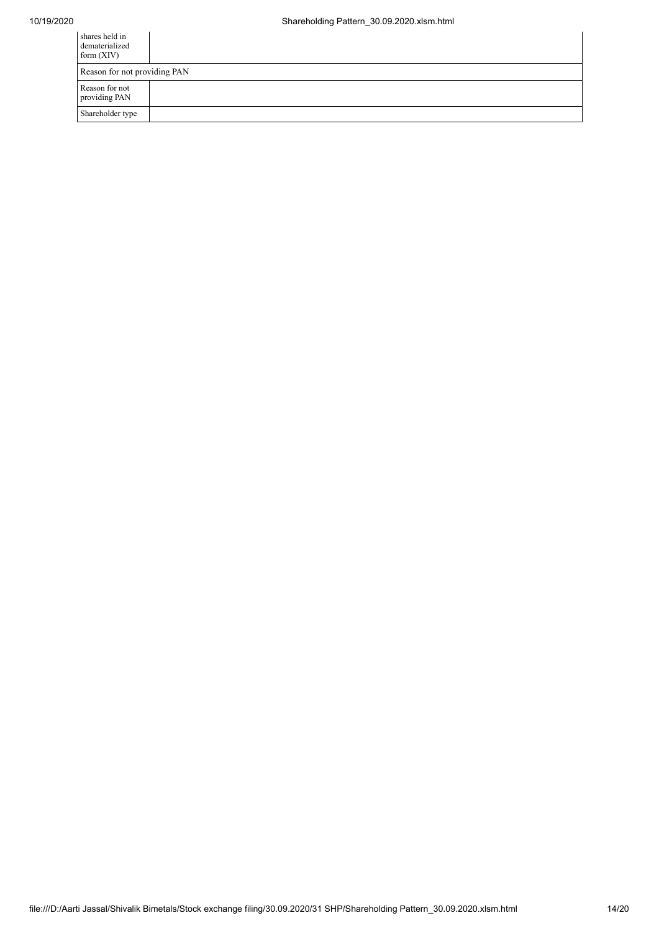| shares held in<br>dematerialized<br>form $(XIV)$ |  |  |  |  |
|--------------------------------------------------|--|--|--|--|
| Reason for not providing PAN                     |  |  |  |  |
| Reason for not<br>providing PAN                  |  |  |  |  |
| Shareholder type                                 |  |  |  |  |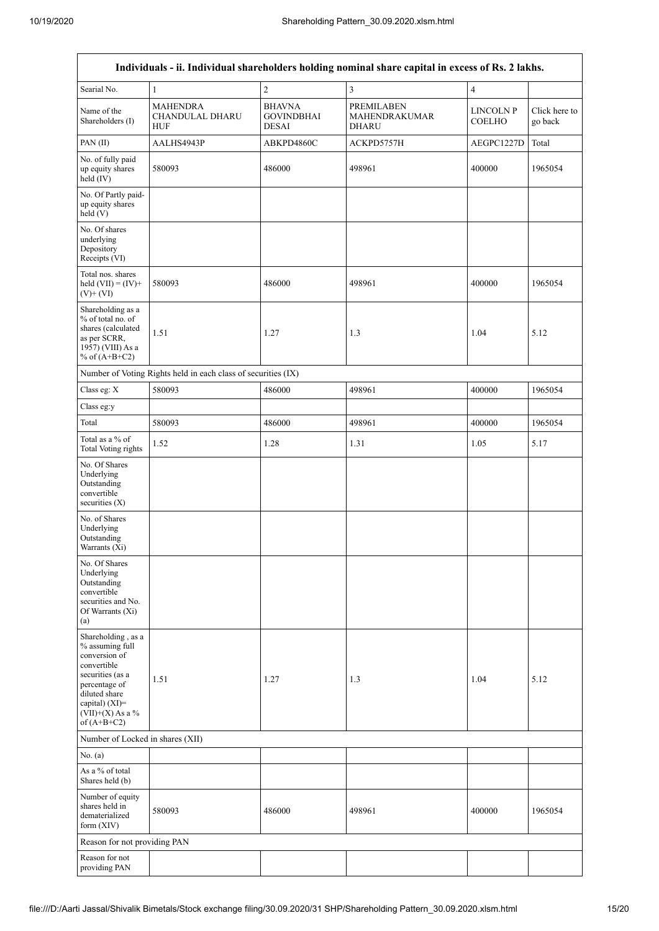$\overline{1}$ 

| Individuals - ii. Individual shareholders holding nominal share capital in excess of Rs. 2 lakhs.                                                                                    |                                                               |                                                    |                                                           |                            |                          |  |
|--------------------------------------------------------------------------------------------------------------------------------------------------------------------------------------|---------------------------------------------------------------|----------------------------------------------------|-----------------------------------------------------------|----------------------------|--------------------------|--|
| Searial No.                                                                                                                                                                          | $\mathbf{1}$                                                  | $\sqrt{2}$                                         | $\mathfrak{Z}$                                            | $\overline{4}$             |                          |  |
| Name of the<br>Shareholders (I)                                                                                                                                                      | <b>MAHENDRA</b><br><b>CHANDULAL DHARU</b><br><b>HUF</b>       | <b>BHAVNA</b><br><b>GOVINDBHAI</b><br><b>DESAI</b> | <b>PREMILABEN</b><br><b>MAHENDRAKUMAR</b><br><b>DHARU</b> | <b>LINCOLN P</b><br>COELHO | Click here to<br>go back |  |
| PAN(II)                                                                                                                                                                              | AALHS4943P                                                    | ABKPD4860C                                         | ACKPD5757H                                                | AEGPC1227D                 | Total                    |  |
| No. of fully paid<br>up equity shares<br>held (IV)                                                                                                                                   | 580093                                                        | 486000                                             | 498961                                                    | 400000                     | 1965054                  |  |
| No. Of Partly paid-<br>up equity shares<br>held (V)                                                                                                                                  |                                                               |                                                    |                                                           |                            |                          |  |
| No. Of shares<br>underlying<br>Depository<br>Receipts (VI)                                                                                                                           |                                                               |                                                    |                                                           |                            |                          |  |
| Total nos. shares<br>held $(VII) = (IV) +$<br>$(V)$ + $(VI)$                                                                                                                         | 580093                                                        | 486000                                             | 498961                                                    | 400000                     | 1965054                  |  |
| Shareholding as a<br>% of total no. of<br>shares (calculated<br>as per SCRR,<br>1957) (VIII) As a<br>% of $(A+B+C2)$                                                                 | 1.51                                                          | 1.27                                               | 1.3                                                       | 1.04                       | 5.12                     |  |
|                                                                                                                                                                                      | Number of Voting Rights held in each class of securities (IX) |                                                    |                                                           |                            |                          |  |
| Class eg: X                                                                                                                                                                          | 580093                                                        | 486000                                             | 498961                                                    | 400000                     | 1965054                  |  |
| Class eg:y                                                                                                                                                                           |                                                               |                                                    |                                                           |                            |                          |  |
| Total                                                                                                                                                                                | 580093                                                        | 486000                                             | 498961                                                    | 400000                     | 1965054                  |  |
| Total as a % of<br><b>Total Voting rights</b>                                                                                                                                        | 1.52                                                          | 1.28                                               | 1.31                                                      | 1.05                       | 5.17                     |  |
| No. Of Shares<br>Underlying<br>Outstanding<br>convertible<br>securities (X)                                                                                                          |                                                               |                                                    |                                                           |                            |                          |  |
| No. of Shares<br>Underlying<br>Outstanding<br>Warrants (Xi)                                                                                                                          |                                                               |                                                    |                                                           |                            |                          |  |
| No. Of Shares<br>Underlying<br>Outstanding<br>convertible<br>securities and No.<br>Of Warrants (Xi)<br>(a)                                                                           |                                                               |                                                    |                                                           |                            |                          |  |
| Shareholding, as a<br>% assuming full<br>conversion of<br>convertible<br>securities (as a<br>percentage of<br>diluted share<br>capital) (XI)=<br>$(VII)+(X)$ As a %<br>of $(A+B+C2)$ | 1.51                                                          | 1.27                                               | 1.3                                                       | 1.04                       | 5.12                     |  |
| Number of Locked in shares (XII)                                                                                                                                                     |                                                               |                                                    |                                                           |                            |                          |  |
| No. (a)                                                                                                                                                                              |                                                               |                                                    |                                                           |                            |                          |  |
| As a % of total<br>Shares held (b)                                                                                                                                                   |                                                               |                                                    |                                                           |                            |                          |  |
| Number of equity<br>shares held in<br>dematerialized<br>form (XIV)                                                                                                                   | 580093                                                        | 486000                                             | 498961                                                    | 400000                     | 1965054                  |  |
| Reason for not providing PAN                                                                                                                                                         |                                                               |                                                    |                                                           |                            |                          |  |
| Reason for not<br>providing PAN                                                                                                                                                      |                                                               |                                                    |                                                           |                            |                          |  |

 $\overline{\mathsf{I}}$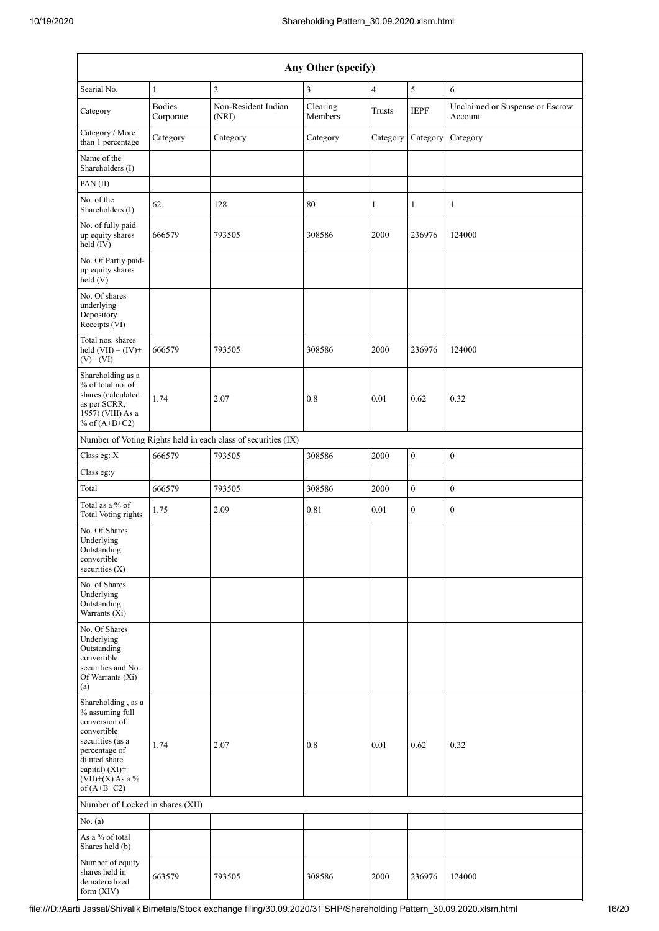| Any Other (specify)                                                                                                                                                                  |                            |                                                               |                     |                |                  |                                            |
|--------------------------------------------------------------------------------------------------------------------------------------------------------------------------------------|----------------------------|---------------------------------------------------------------|---------------------|----------------|------------------|--------------------------------------------|
| Searial No.                                                                                                                                                                          | $\mathbf{1}$               | $\sqrt{2}$                                                    | 3                   | $\overline{4}$ | 5                | 6                                          |
| Category                                                                                                                                                                             | <b>Bodies</b><br>Corporate | Non-Resident Indian<br>(NRI)                                  | Clearing<br>Members | <b>Trusts</b>  | <b>IEPF</b>      | Unclaimed or Suspense or Escrow<br>Account |
| Category / More<br>than 1 percentage                                                                                                                                                 | Category                   | Category                                                      | Category            | Category       | Category         | Category                                   |
| Name of the<br>Shareholders (I)                                                                                                                                                      |                            |                                                               |                     |                |                  |                                            |
| PAN(II)                                                                                                                                                                              |                            |                                                               |                     |                |                  |                                            |
| No. of the<br>Shareholders (I)                                                                                                                                                       | 62                         | 128                                                           | 80                  | 1              | $\mathbf{1}$     | 1                                          |
| No. of fully paid<br>up equity shares<br>held (IV)                                                                                                                                   | 666579                     | 793505                                                        | 308586              | 2000           | 236976           | 124000                                     |
| No. Of Partly paid-<br>up equity shares<br>held(V)                                                                                                                                   |                            |                                                               |                     |                |                  |                                            |
| No. Of shares<br>underlying<br>Depository<br>Receipts (VI)                                                                                                                           |                            |                                                               |                     |                |                  |                                            |
| Total nos. shares<br>held $(VII) = (IV) +$<br>$(V)$ + $(VI)$                                                                                                                         | 666579                     | 793505                                                        | 308586              | 2000           | 236976           | 124000                                     |
| Shareholding as a<br>% of total no. of<br>shares (calculated<br>as per SCRR,<br>1957) (VIII) As a<br>% of $(A+B+C2)$                                                                 | 1.74                       | 2.07                                                          | 0.8                 | 0.01           | 0.62             | 0.32                                       |
|                                                                                                                                                                                      |                            | Number of Voting Rights held in each class of securities (IX) |                     |                |                  |                                            |
| Class eg: X                                                                                                                                                                          | 666579                     | 793505                                                        | 308586              | 2000           | $\boldsymbol{0}$ | $\boldsymbol{0}$                           |
| Class eg:y                                                                                                                                                                           |                            |                                                               |                     |                |                  |                                            |
| Total                                                                                                                                                                                | 666579                     | 793505                                                        | 308586              | 2000           | $\boldsymbol{0}$ | $\boldsymbol{0}$                           |
| Total as a % of<br><b>Total Voting rights</b>                                                                                                                                        | 1.75                       | 2.09                                                          | 0.81                | 0.01           | $\mathbf{0}$     | $\boldsymbol{0}$                           |
| No. Of Shares<br>Underlying<br>Outstanding<br>convertible<br>securities $(X)$                                                                                                        |                            |                                                               |                     |                |                  |                                            |
| No. of Shares<br>Underlying<br>Outstanding<br>Warrants (Xi)                                                                                                                          |                            |                                                               |                     |                |                  |                                            |
| No. Of Shares<br>Underlying<br>Outstanding<br>convertible<br>securities and No.<br>Of Warrants (Xi)<br>(a)                                                                           |                            |                                                               |                     |                |                  |                                            |
| Shareholding, as a<br>% assuming full<br>conversion of<br>convertible<br>securities (as a<br>percentage of<br>diluted share<br>capital) (XI)=<br>$(VII)+(X)$ As a %<br>of $(A+B+C2)$ | 1.74                       | 2.07                                                          | 0.8                 | 0.01           | 0.62             | 0.32                                       |
| Number of Locked in shares (XII)<br>No. (a)                                                                                                                                          |                            |                                                               |                     |                |                  |                                            |
| As a % of total<br>Shares held (b)                                                                                                                                                   |                            |                                                               |                     |                |                  |                                            |
| Number of equity<br>shares held in<br>dematerialized<br>form (XIV)                                                                                                                   | 663579                     | 793505                                                        | 308586              | 2000           | 236976           | 124000                                     |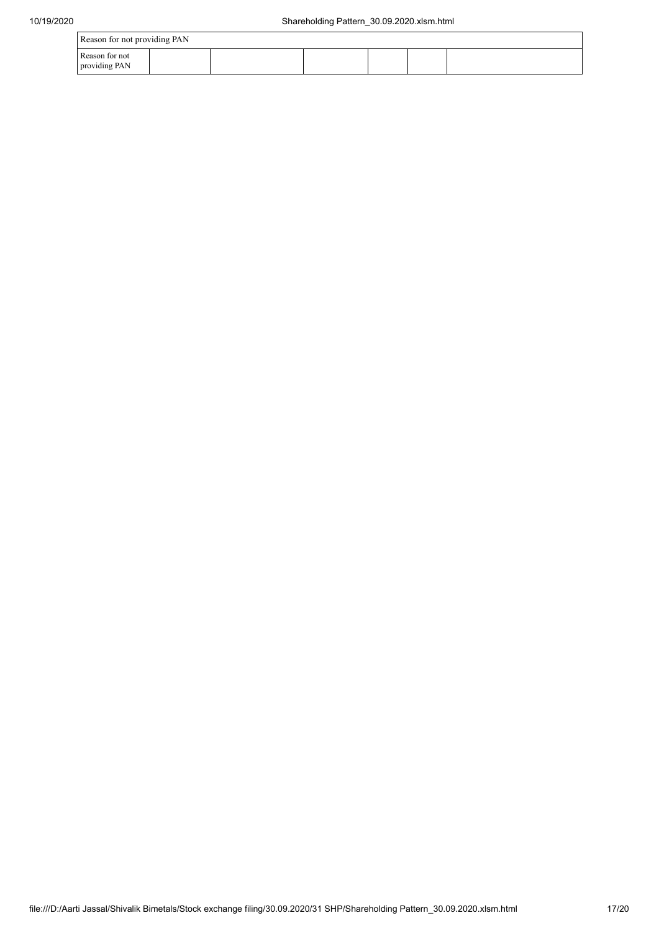| Reason for not providing PAN    |  |  |  |  |  |
|---------------------------------|--|--|--|--|--|
| Reason for not<br>providing PAN |  |  |  |  |  |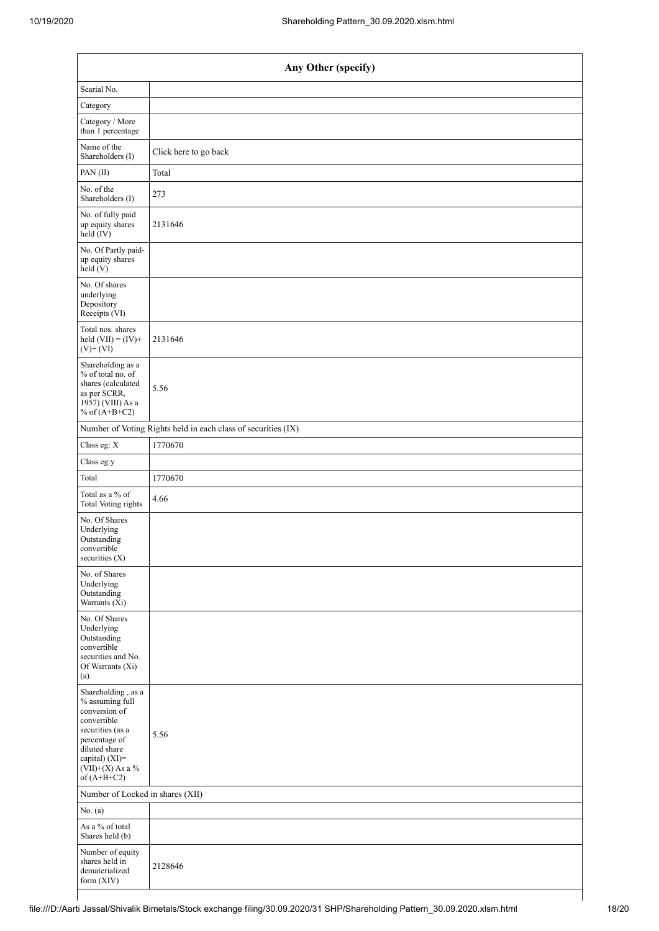| Any Other (specify)                                                                                                                                                                  |                                                               |  |  |  |
|--------------------------------------------------------------------------------------------------------------------------------------------------------------------------------------|---------------------------------------------------------------|--|--|--|
| Searial No.                                                                                                                                                                          |                                                               |  |  |  |
| Category                                                                                                                                                                             |                                                               |  |  |  |
| Category / More<br>than 1 percentage                                                                                                                                                 |                                                               |  |  |  |
| Name of the<br>Shareholders (I)                                                                                                                                                      | Click here to go back                                         |  |  |  |
| PAN(II)                                                                                                                                                                              | Total                                                         |  |  |  |
| No. of the<br>Shareholders (I)                                                                                                                                                       | 273                                                           |  |  |  |
| No. of fully paid<br>up equity shares<br>held (IV)                                                                                                                                   | 2131646                                                       |  |  |  |
| No. Of Partly paid-<br>up equity shares<br>held (V)                                                                                                                                  |                                                               |  |  |  |
| No. Of shares<br>underlying<br>Depository<br>Receipts (VI)                                                                                                                           |                                                               |  |  |  |
| Total nos. shares<br>held $(VII) = (IV) +$<br>$(V)+(VI)$                                                                                                                             | 2131646                                                       |  |  |  |
| Shareholding as a<br>% of total no. of<br>shares (calculated<br>as per SCRR,<br>1957) (VIII) As a<br>% of $(A+B+C2)$                                                                 | 5.56                                                          |  |  |  |
|                                                                                                                                                                                      | Number of Voting Rights held in each class of securities (IX) |  |  |  |
| Class eg: X                                                                                                                                                                          | 1770670                                                       |  |  |  |
| Class eg:y                                                                                                                                                                           |                                                               |  |  |  |
| Total                                                                                                                                                                                | 1770670                                                       |  |  |  |
| Total as a % of<br><b>Total Voting rights</b>                                                                                                                                        | 4.66                                                          |  |  |  |
| No. Of Shares<br>Underlying<br>Outstanding<br>convertible<br>securities (X)                                                                                                          |                                                               |  |  |  |
| No. of Shares<br>Underlying<br>Outstanding<br>Warrants (Xi)                                                                                                                          |                                                               |  |  |  |
| No. Of Shares<br>Underlying<br>Outstanding<br>convertible<br>securities and No.<br>Of Warrants (Xi)<br>(a)                                                                           |                                                               |  |  |  |
| Shareholding, as a<br>% assuming full<br>conversion of<br>convertible<br>securities (as a<br>percentage of<br>diluted share<br>capital) (XI)=<br>$(VII)+(X)$ As a %<br>of $(A+B+C2)$ | 5.56                                                          |  |  |  |
| Number of Locked in shares (XII)                                                                                                                                                     |                                                               |  |  |  |
| No. (a)                                                                                                                                                                              |                                                               |  |  |  |
| As a % of total<br>Shares held (b)                                                                                                                                                   |                                                               |  |  |  |
| Number of equity<br>shares held in<br>dematerialized<br>form (XIV)                                                                                                                   | 2128646                                                       |  |  |  |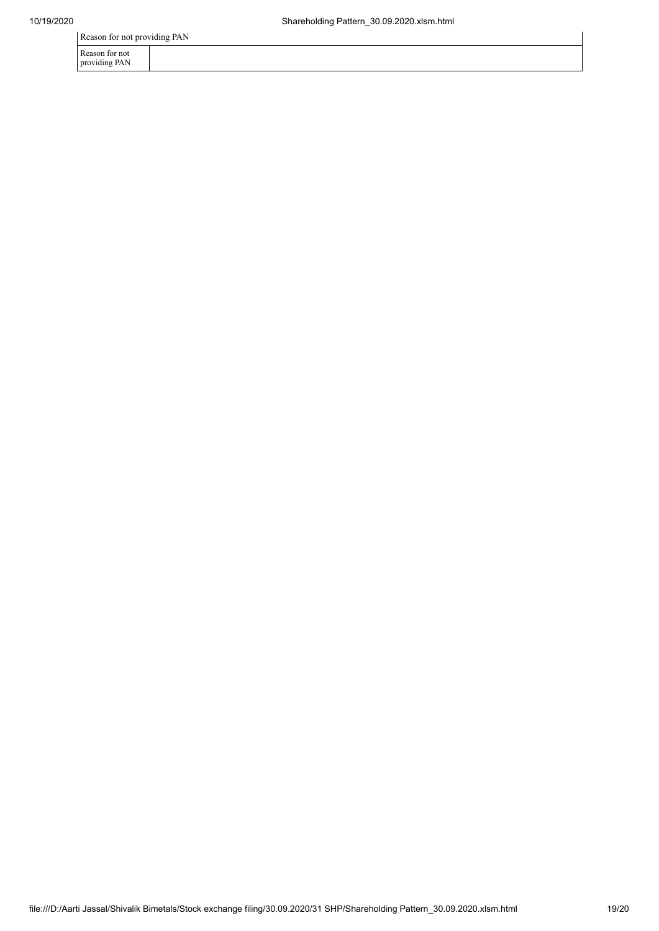Reason for not providing PAN

providing PAN

| <b>EXCASSOLE TOT</b> HOT <b>DISPOSEDED</b> |  |  |  |  |
|--------------------------------------------|--|--|--|--|
| Reason for not                             |  |  |  |  |